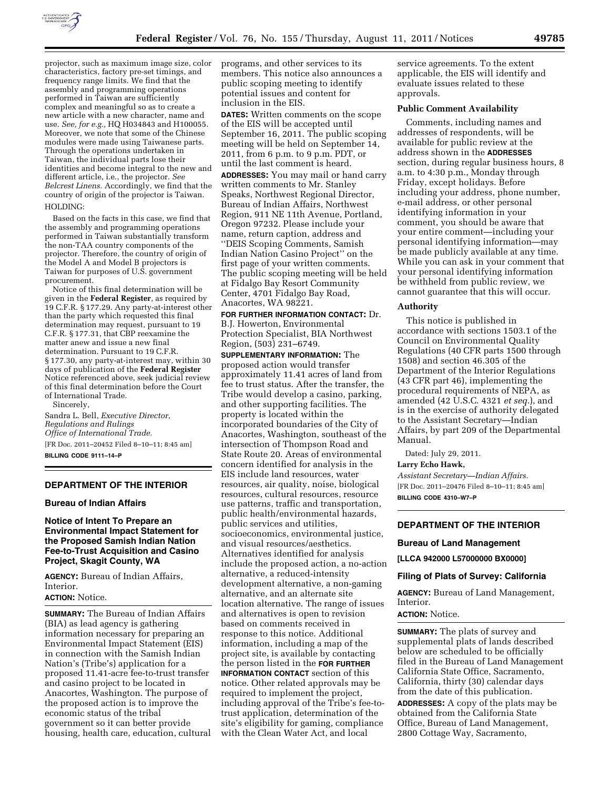

projector, such as maximum image size, color characteristics, factory pre-set timings, and frequency range limits. We find that the assembly and programming operations performed in Taiwan are sufficiently complex and meaningful so as to create a new article with a new character, name and use. *See, for e.g.,* HQ H034843 and H100055. Moreover, we note that some of the Chinese modules were made using Taiwanese parts. Through the operations undertaken in Taiwan, the individual parts lose their identities and become integral to the new and different article, i.e., the projector. *See Belcrest Linens.* Accordingly, we find that the country of origin of the projector is Taiwan. HOLDING:

Based on the facts in this case, we find that the assembly and programming operations performed in Taiwan substantially transform the non-TAA country components of the projector. Therefore, the country of origin of the Model A and Model B projectors is Taiwan for purposes of U.S. government procurement.

Notice of this final determination will be given in the **Federal Register**, as required by 19 C.F.R. § 177.29. Any party-at-interest other than the party which requested this final determination may request, pursuant to 19 C.F.R. § 177.31, that CBP reexamine the matter anew and issue a new final determination. Pursuant to 19 C.F.R. § 177.30, any party-at-interest may, within 30 days of publication of the **Federal Register**  Notice referenced above, seek judicial review of this final determination before the Court of International Trade.

Sincerely,

Sandra L. Bell, *Executive Director*, *Regulations and Rulings Office of International Trade.*  [FR Doc. 2011–20452 Filed 8–10–11; 8:45 am]

**BILLING CODE 9111–14–P** 

## **DEPARTMENT OF THE INTERIOR**

#### **Bureau of Indian Affairs**

## **Notice of Intent To Prepare an Environmental Impact Statement for the Proposed Samish Indian Nation Fee-to-Trust Acquisition and Casino Project, Skagit County, WA**

**AGENCY:** Bureau of Indian Affairs, Interior. **ACTION:** Notice.

**SUMMARY:** The Bureau of Indian Affairs

(BIA) as lead agency is gathering information necessary for preparing an Environmental Impact Statement (EIS) in connection with the Samish Indian Nation's (Tribe's) application for a proposed 11.41-acre fee-to-trust transfer and casino project to be located in Anacortes, Washington. The purpose of the proposed action is to improve the economic status of the tribal government so it can better provide housing, health care, education, cultural programs, and other services to its members. This notice also announces a public scoping meeting to identify potential issues and content for inclusion in the EIS.

**DATES:** Written comments on the scope of the EIS will be accepted until September 16, 2011. The public scoping meeting will be held on September 14, 2011, from 6 p.m. to 9 p.m. PDT, or until the last comment is heard.

**ADDRESSES:** You may mail or hand carry written comments to Mr. Stanley Speaks, Northwest Regional Director, Bureau of Indian Affairs, Northwest Region, 911 NE 11th Avenue, Portland, Oregon 97232. Please include your name, return caption, address and ''DEIS Scoping Comments, Samish Indian Nation Casino Project'' on the first page of your written comments. The public scoping meeting will be held at Fidalgo Bay Resort Community Center, 4701 Fidalgo Bay Road, Anacortes, WA 98221.

**FOR FURTHER INFORMATION CONTACT:** Dr. B.J. Howerton, Environmental Protection Specialist, BIA Northwest Region, (503) 231–6749.

**SUPPLEMENTARY INFORMATION:** The proposed action would transfer approximately 11.41 acres of land from fee to trust status. After the transfer, the Tribe would develop a casino, parking, and other supporting facilities. The property is located within the incorporated boundaries of the City of Anacortes, Washington, southeast of the intersection of Thompson Road and State Route 20. Areas of environmental concern identified for analysis in the EIS include land resources, water resources, air quality, noise, biological resources, cultural resources, resource use patterns, traffic and transportation, public health/environmental hazards, public services and utilities, socioeconomics, environmental justice, and visual resources/aesthetics. Alternatives identified for analysis include the proposed action, a no-action alternative, a reduced-intensity development alternative, a non-gaming alternative, and an alternate site location alternative. The range of issues and alternatives is open to revision based on comments received in response to this notice. Additional information, including a map of the project site, is available by contacting the person listed in the **FOR FURTHER INFORMATION CONTACT** section of this notice. Other related approvals may be required to implement the project, including approval of the Tribe's fee-totrust application, determination of the site's eligibility for gaming, compliance with the Clean Water Act, and local

service agreements. To the extent applicable, the EIS will identify and evaluate issues related to these approvals.

### **Public Comment Availability**

Comments, including names and addresses of respondents, will be available for public review at the address shown in the **ADDRESSES** section, during regular business hours, 8 a.m. to 4:30 p.m., Monday through Friday, except holidays. Before including your address, phone number, e-mail address, or other personal identifying information in your comment, you should be aware that your entire comment—including your personal identifying information—may be made publicly available at any time. While you can ask in your comment that your personal identifying information be withheld from public review, we cannot guarantee that this will occur.

#### **Authority**

This notice is published in accordance with sections 1503.1 of the Council on Environmental Quality Regulations (40 CFR parts 1500 through 1508) and section 46.305 of the Department of the Interior Regulations (43 CFR part 46), implementing the procedural requirements of NEPA, as amended (42 U.S.C. 4321 *et seq.*), and is in the exercise of authority delegated to the Assistant Secretary—Indian Affairs, by part 209 of the Departmental Manual.

Dated: July 29, 2011.

### **Larry Echo Hawk,**

*Assistant Secretary—Indian Affairs.*  [FR Doc. 2011–20476 Filed 8–10–11; 8:45 am] **BILLING CODE 4310–W7–P** 

### **DEPARTMENT OF THE INTERIOR**

#### **Bureau of Land Management**

**[LLCA 942000 L57000000 BX0000]** 

#### **Filing of Plats of Survey: California**

**AGENCY:** Bureau of Land Management, Interior.

## **ACTION:** Notice.

**SUMMARY:** The plats of survey and supplemental plats of lands described below are scheduled to be officially filed in the Bureau of Land Management California State Office, Sacramento, California, thirty (30) calendar days from the date of this publication.

**ADDRESSES:** A copy of the plats may be obtained from the California State Office, Bureau of Land Management, 2800 Cottage Way, Sacramento,